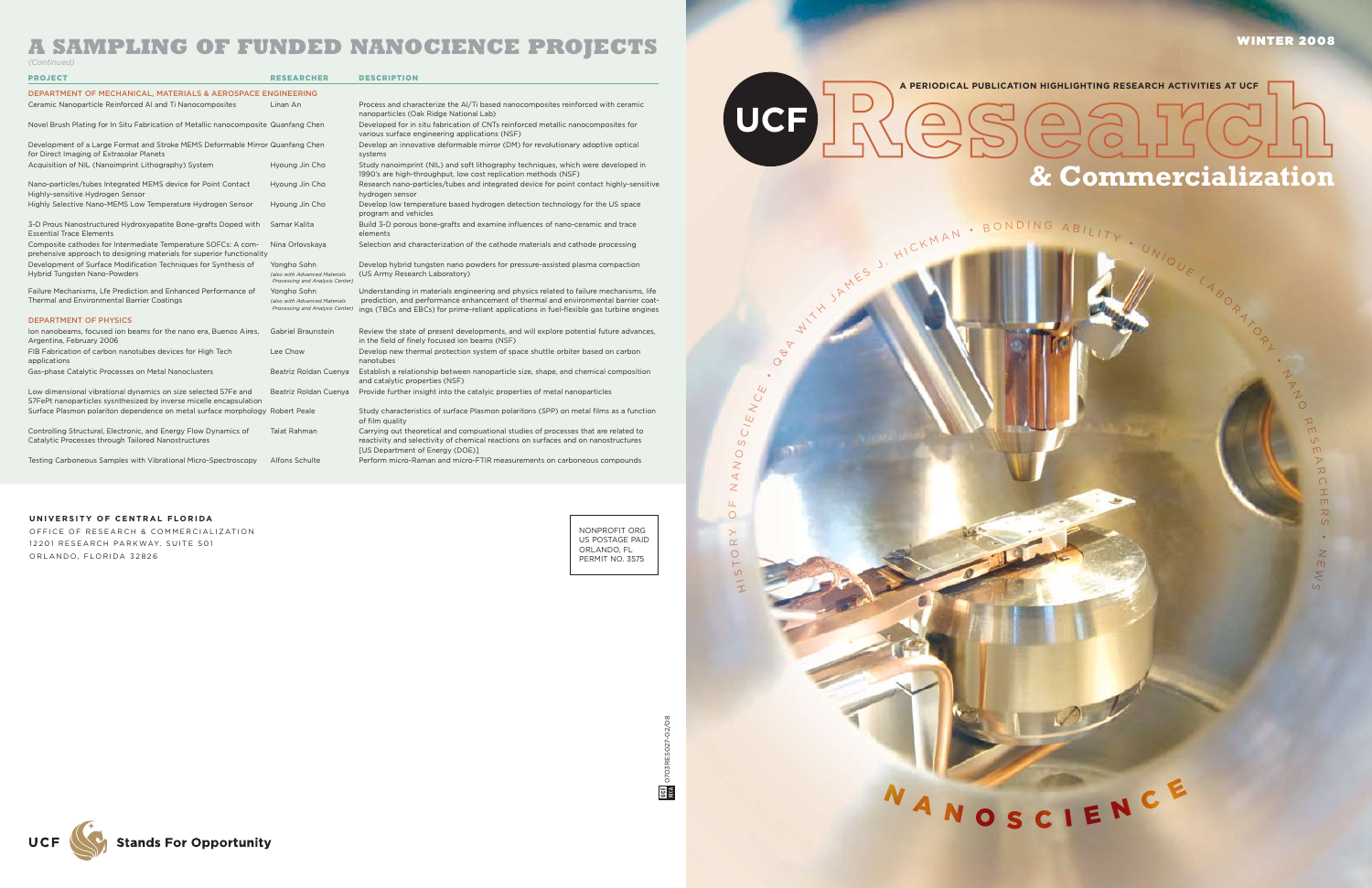NONPROFIT ORG US POSTAGE PAID ORLANDO, FL PERMIT NO. 3575

0703RES027-02/08

0703RES027-02/08

**DEE** 

 $\alpha$  $\vdash$ O  $\alpha$  $\left. \right.$ OЩ. N  $\triangleleft$ N O  $\circ$ C/E  $\geq$  $\bigcirc$  $\overline{\mathcal{L}}$ 



# **A PERIODICAL PUBLICATION HIGHLIGHTING RESEARCH ACTIVITIES AT UCF & Commercialization**

AM ES J. HICKMAN • BONDING ABILITY • UNIQUE LABORA

**UCF**

 $\theta$ 

**M IN** 

 $\rightarrow$ 



•  $\overline{z}$  $\overline{\Pi}$  $\leq$  $\omega$ 

•  $\mathcal I$  $\overline{\mathsf{y}}$ N O R π٦  $\overline{S}$ π٦  $\overline{\triangleright}$ カ  $\bigcap$ H

| <b>PROJECT</b>                                                                                                                         | <b>RESEARCHER</b>                                                               | <b>DESCRIPTION</b>                                                                                                                                                                                                                                                       |
|----------------------------------------------------------------------------------------------------------------------------------------|---------------------------------------------------------------------------------|--------------------------------------------------------------------------------------------------------------------------------------------------------------------------------------------------------------------------------------------------------------------------|
| <b>DEPARTMENT OF MECHANICAL, MATERIALS &amp; AEROSPACE ENGINEERING</b>                                                                 |                                                                                 |                                                                                                                                                                                                                                                                          |
| Ceramic Nanoparticle Reinforced AI and Ti Nanocomposites                                                                               | Linan An                                                                        | Process and characterize the AI/Ti based nanocomposites reinforced with ceramic<br>nanoparticles (Oak Ridge National Lab)                                                                                                                                                |
| Novel Brush Plating for In Situ Fabrication of Metallic nanocomposite Quanfang Chen                                                    |                                                                                 | Developed for in situ fabrication of CNTs reinforced metallic nanocomposites for<br>various surface engineering applications (NSF)                                                                                                                                       |
| Development of a Large Format and Stroke MEMS Deformable Mirror Quanfang Chen<br>for Direct Imaging of Extrasolar Planets              |                                                                                 | Develop an innovative deformable mirror (DM) for revolutionary adoptive optical<br>systems                                                                                                                                                                               |
| Acquisition of NIL (Nanoimprint Lithography) System                                                                                    | Hyoung Jin Cho                                                                  | Study nanoimprint (NIL) and soft lithography techniques, which were developed in<br>1990's are high-throughput, low cost replication methods (NSF)                                                                                                                       |
| Nano-particles/tubes Integrated MEMS device for Point Contact<br>Highly-sensitive Hydrogen Sensor                                      | Hyoung Jin Cho                                                                  | Research nano-particles/tubes and integrated device for point contact highly-sensitive<br>hydrogen sensor                                                                                                                                                                |
| Highly Selective Nano-MEMS Low Temperature Hydrogen Sensor                                                                             | Hyoung Jin Cho                                                                  | Develop low temperature based hydrogen detection technology for the US space<br>program and vehicles                                                                                                                                                                     |
| 3-D Prous Nanostructured Hydroxyapatite Bone-grafts Doped with<br><b>Essential Trace Elements</b>                                      | Samar Kalita                                                                    | Build 3-D porous bone-grafts and examine influences of nano-ceramic and trace<br>elements                                                                                                                                                                                |
| Composite cathodes for Intermediate Temperature SOFCs: A com-<br>prehensive approach to designing materials for superior functionality | Nina Orlovskaya                                                                 | Selection and characterization of the cathode materials and cathode processing                                                                                                                                                                                           |
| Development of Surface Modification Techniques for Synthesis of<br>Hybrid Tungsten Nano-Powders                                        | Yongho Sohn<br>(also with Advanced Materials<br>Processing and Analysis Center) | Develop hybrid tungsten nano powders for pressure-assisted plasma compaction<br>(US Army Research Laboratory)                                                                                                                                                            |
| Failure Mechanisms, Lfe Prediction and Enhanced Performance of<br>Thermal and Environmental Barrier Coatings                           | Yongho Sohn<br>(also with Advanced Materials<br>Processing and Analysis Center) | Understanding in materials engineering and physics related to failure mechanisms, life<br>prediction, and performance enhancement of thermal and environmental barrier coat-<br>ings (TBCs and EBCs) for prime-reliant applications in fuel-flexible gas turbine engines |
| <b>DEPARTMENT OF PHYSICS</b>                                                                                                           |                                                                                 |                                                                                                                                                                                                                                                                          |
| Ion nanobeams, focused ion beams for the nano era, Buenos Aires,<br>Argentina, February 2006                                           | Gabriel Braunstein                                                              | Review the state of present developments, and will explore potential future advances,<br>in the field of finely focused ion beams (NSF)                                                                                                                                  |
| FIB Fabrication of carbon nanotubes devices for High Tech<br>applications                                                              | Lee Chow                                                                        | Develop new thermal protection system of space shuttle orbiter based on carbon<br>nanotubes                                                                                                                                                                              |
| Gas-phase Catalytic Processes on Metal Nanoclusters                                                                                    | Beatriz Roldan Cuenya                                                           | Establish a relationship between nanoparticle size, shape, and chemical composition<br>and catalytic properties (NSF)                                                                                                                                                    |
| Low dimensional vibrational dynamics on size selected 57Fe and<br>57FePt nanoparticles sysnthesized by inverse micelle encapsulation   | Beatriz Roldan Cuenya                                                           | Provide further insight into the catalyic properties of metal nanoparticles                                                                                                                                                                                              |
| Surface Plasmon polariton dependence on metal surface morphology Robert Peale                                                          |                                                                                 | Study characteristics of surface Plasmon polaritons (SPP) on metal films as a function<br>of film quality                                                                                                                                                                |
| Controlling Structural, Electronic, and Energy Flow Dynamics of<br>Catalytic Processes through Tailored Nanostructures                 | Talat Rahman                                                                    | Carrying out theoretical and compuational studies of processes that are related to<br>reactivity and selectivity of chemical reactions on surfaces and on nanostructures                                                                                                 |

[US Department of Energy (DOE)]

#### **UNIVERSITY OF CENTRAL FLORIDA**

OFFICE OF RESEARCH & COMMERCIALIZATION 12201 RESEARCH PARKWAY, SUITE 501 ORLANDO, FLORIDA 32826

Testing Carboneous Samples with Vibrational Micro-Spectroscopy Alfons Schulte Perform micro-Raman and micro-FTIR measurements on carboneous compounds

# on metal films as a function

### **A SAMPLING OF FUNDED NANOCIENCE PROJECTS**

*(Continued)*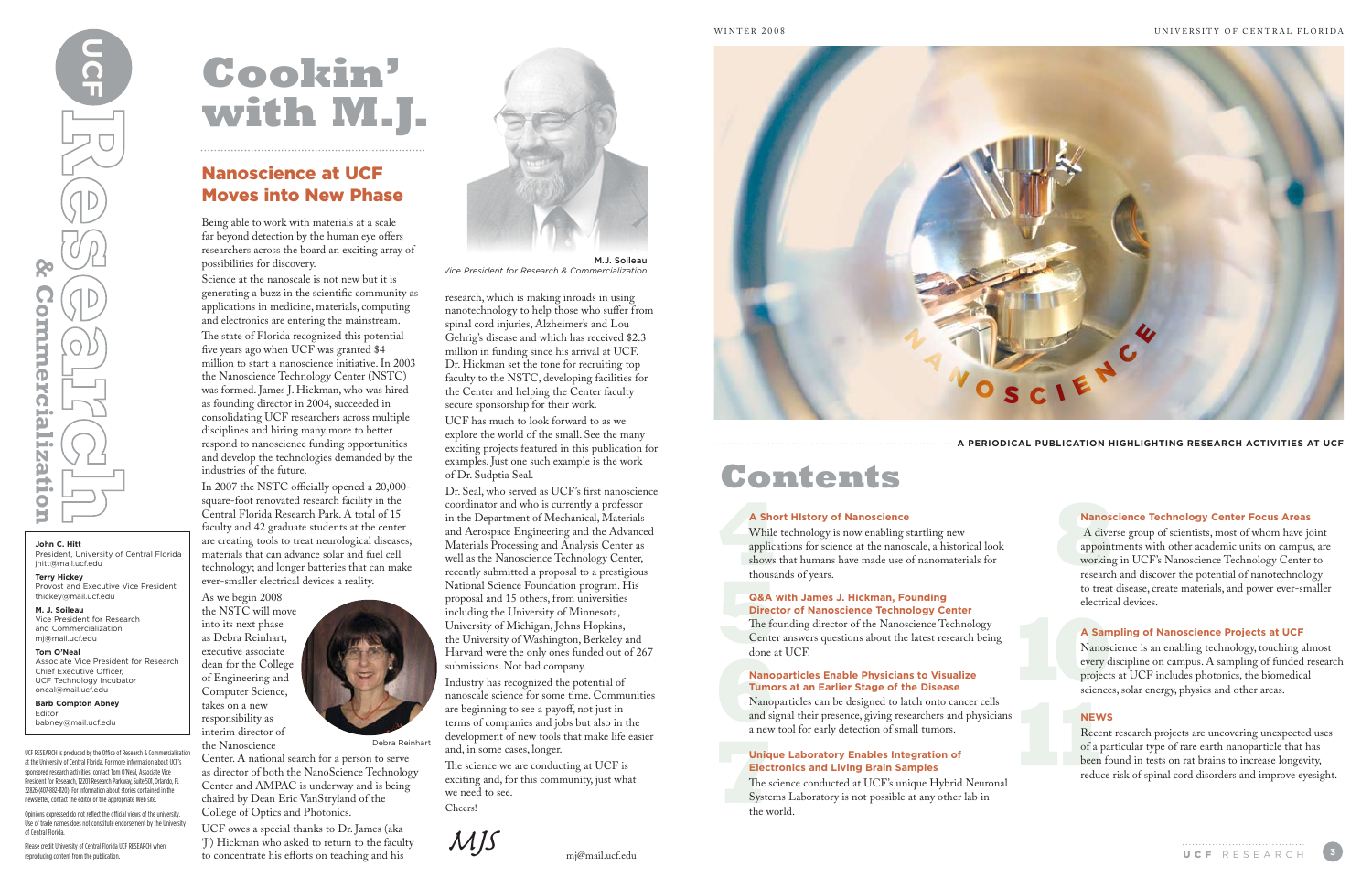Being able to work with materials at a scale far beyond detection by the human eye offers researchers across the board an exciting array of possibilities for discovery.

Science at the nanoscale is not new but it is generating a buzz in the scientific community as applications in medicine, materials, computing and electronics are entering the mainstream.

The state of Florida recognized this potential five years ago when UCF was granted \$4 million to start a nanoscience initiative. In 2003 the Nanoscience Technology Center (NSTC) was formed. James J. Hickman, who was hired as founding director in 2004, succeeded in consolidating UCF researchers across multiple disciplines and hiring many more to better respond to nanoscience funding opportunities and develop the technologies demanded by the industries of the future.

In 2007 the NSTC officially opened a 20,000 square-foot renovated research facility in the Central Florida Research Park. A total of 15 faculty and 42 graduate students at the center are creating tools to treat neurological diseases; materials that can advance solar and fuel cell technology; and longer batteries that can make ever-smaller electrical devices a reality.

As we begin 2008 the NSTC will move into its next phase as Debra Reinhart, executive associate dean for the College of Engineering and Computer Science, takes on a new responsibility as interim director of the Nanoscience

Center. A national search for a person to serve as director of both the NanoScience Technology Center and AMPAC is underway and is being chaired by Dean Eric VanStryland of the College of Optics and Photonics.

UCF owes a special thanks to Dr. James (aka 'J') Hickman who asked to return to the faculty to concentrate his efforts on teaching and his

research, which is making inroads in using nanotechnology to help those who suffer from spinal cord injuries, Alzheimer's and Lou Gehrig's disease and which has received \$2.3 million in funding since his arrival at UCF. Dr. Hickman set the tone for recruiting top faculty to the NSTC, developing facilities for the Center and helping the Center faculty secure sponsorship for their work.

UCF RESEARCH is produced by the Office of Research & Commercialization at the University of Central Florida. For more information about UCF's sponsored research activities, contact Tom O'Neal, Associate Vice President for Research, 12201 Research Parkway, Suite 501, Orlando, FL 32826 (407-882-1120). For information about stories contained in the newsletter, contact the editor or the appropriate Web site. Opinions expressed do not reflect the official views of the university. Use of trade names does not constitute endorsement by the University

UCF has much to look forward to as we explore the world of the small. See the many exciting projects featured in this publication for examples. Just one such example is the work of Dr. Sudptia Seal.

> A **Sho**<br>
> While<br>
> applica<br>
> shows<br>
> thousa While technology is now enabling startling new applications for science at the nanoscale, a historical look shows that humans have made use of nanomaterials for thousands of years.

> thousa<br> **G&A**<br>
> Direct<br>
> The fo<br>
> Center<br>
> done a The founding director of the Nanoscience Technology Center answers questions about the latest research being done at UCF.

done a<br> **Nano<br>
Tumo**<br>
Mano<br>
and signal Nanoparticles can be designed to latch onto cancer cells and signal their presence, giving researchers and physicians a new tool for early detection of small tumors.

Dr. Seal, who served as UCF's first nanoscience coordinator and who is currently a professor in the Department of Mechanical, Materials and Aerospace Engineering and the Advanced Materials Processing and Analysis Center as well as the Nanoscience Technology Center, recently submitted a proposal to a prestigious National Science Foundation program. His proposal and 15 others, from universities including the University of Minnesota, University of Michigan, Johns Hopkins, the University of Washington, Berkeley and Harvard were the only ones funded out of 267 submissions. Not bad company.

> **1**<br> **11141**<br> **121**<br> **121**<br> **121**<br> **121**<br> **121**<br> **121**<br> **121**<br> **121**<br> **121**<br> **121**<br> **121**<br> **121**<br> **121** The science conducted at UCF's unique Hybrid Neuronal Systems Laboratory is not possible at any other lab in the world.

**8** A diverse group of scientists, most of whom have joint appointments with other academic units on campus, are working in UCF's Nanoscience Technology Center to research and discover the potential of nanotechnology to treat disease, create materials, and power ever-smaller electrical devices.

**100**<br> **100**<br> **100**<br> **100**<br> **100**<br> **100**<br> **100**<br> **100**<br> **100**<br> **100**<br> **100**<br> **100**<br> **100**<br> **100**<br> **100**<br> **100**<br> **100**<br> **100**<br> **1000** Nanoscience is an enabling technology, touching almost every discipline on campus. A sampling of funded research projects at UCF includes photonics, the biomedical sciences, solar energy, physics and other areas.

Industry has recognized the potential of nanoscale science for some time. Communities are beginning to see a payoff, not just in terms of companies and jobs but also in the development of new tools that make life easier and, in some cases, longer.

The science we are conducting at UCF is exciting and, for this community, just what we need to see. Cheers!

*MJS*



# **Cookin' with M.J.**

**John C. Hitt**

President, University of Central Florida

jhitt@mail.ucf.edu **Terry Hickey**

**reproducing content from the publication**<br>**Product from the publication**<br>**Donn C. Hitt**<br>**Production**<br>**Histophan C. Hitter**<br>**Production**<br>**Histophan C. Hitter**<br>**Production**<br>**Histophan C. Hitter**<br>**Production**<br>**M. J. Soileau** 

**Commercializatio** 

Provost and Executive Vice President

thickey@mail.ucf.edu **M. J. Soileau**

Vice President for Research and Commercialization mj@mail.ucf.edu **Tom O'Neal**

Associate Vice President for Research

Chief Executive Officer, UCF Technology Incubator oneal@mail.ucf.edu **Barb Compton Abney**

Editor

babney@mail.ucf.edu

of Central Florida.

Please credit University of Central Florida UCF RESEARCH when

reproducing content from the publication



Debra Reinhart

### **A Short HIstory of Nanoscience**

### **Q&A with James J. Hickman, Founding Director of Nanoscience Technology Center**

### **Nanoparticles Enable Physicians to Visualize Tumors at an Earlier Stage of the Disease**

### **Unique Laboratory Enables Integration of Electronics and Living Brain Samples**

**11** Recent research projects are uncovering unexpected uses of a particular type of rare earth nanoparticle that has been found in tests on rat brains to increase longevity, reduce risk of spinal cord disorders and improve eyesight.

#### **Nanoscience Technology Center Focus Areas**

#### **A Sampling of Nanoscience Projects at UCF**

#### **NEWS**

# **Contents**

**A PERIODICAL PUBLICATION HIGHLIGHTING RESEARCH ACTIVITIES AT UCF**

M.J. Soileau

*Vice President for Research & Commercialization*

### Nanoscience at UCF Moves into New Phase

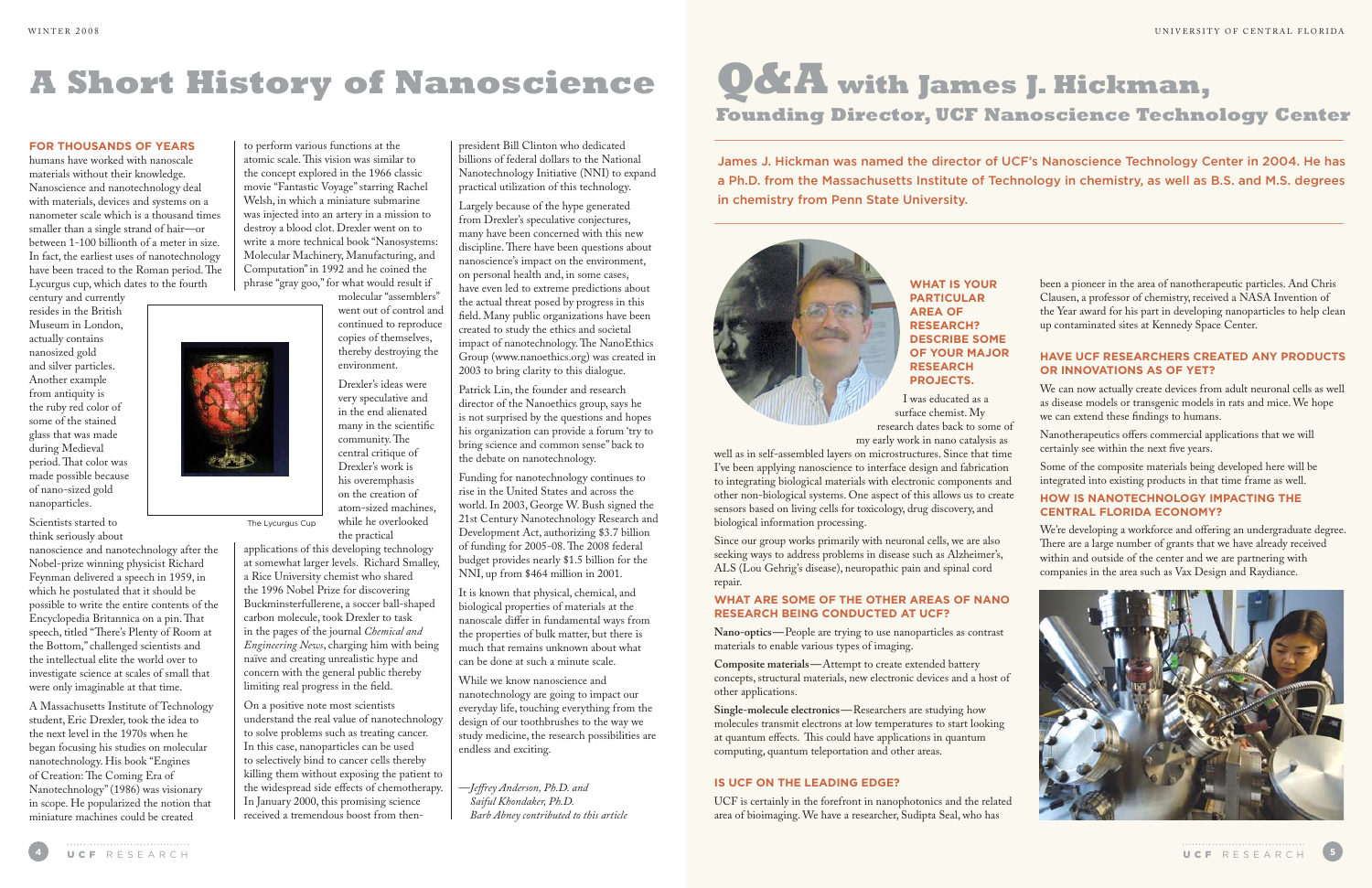# **A Short History of Nanoscience**

### **For thousands of years**

humans have worked with nanoscale materials without their knowledge. Nanoscience and nanotechnology deal with materials, devices and systems on a nanometer scale which is a thousand times smaller than a single strand of hair—or between 1-100 billionth of a meter in size. In fact, the earliest uses of nanotechnology have been traced to the Roman period. The Lycurgus cup, which dates to the fourth

century and currently resides in the British Museum in London, actually contains nanosized gold and silver particles. Another example from antiquity is the ruby red color of some of the stained glass that was made during Medieval period. That color was made possible because of nano-sized gold nanoparticles.

Scientists started to think seriously about

nanoscience and nanotechnology after the Nobel-prize winning physicist Richard Feynman delivered a speech in 1959, in which he postulated that it should be possible to write the entire contents of the Encyclopedia Britannica on a pin. That speech, titled "There's Plenty of Room at the Bottom," challenged scientists and the intellectual elite the world over to investigate science at scales of small that were only imaginable at that time.

A Massachusetts Institute of Technology student, Eric Drexler, took the idea to the next level in the 1970s when he began focusing his studies on molecular nanotechnology. His book "Engines of Creation: The Coming Era of Nanotechnology" (1986) was visionary in scope. He popularized the notion that miniature machines could be created

to perform various functions at the atomic scale. This vision was similar to the concept explored in the 1966 classic movie "Fantastic Voyage" starring Rachel Welsh, in which a miniature submarine was injected into an artery in a mission to destroy a blood clot. Drexler went on to write a more technical book "Nanosystems: Molecular Machinery, Manufacturing, and Computation" in 1992 and he coined the phrase "gray goo," for what would result if molecular "assemblers"

> went out of control and continued to reproduce copies of themselves, thereby destroying the environment.

Drexler's ideas were very speculative and in the end alienated many in the scientific community. The central critique of Drexler's work is his overemphasis on the creation of atom-sized machines, while he overlooked the practical

applications of this developing technology at somewhat larger levels. Richard Smalley, a Rice University chemist who shared the 1996 Nobel Prize for discovering Buckminsterfullerene, a soccer ball-shaped carbon molecule, took Drexler to task in the pages of the journal *Chemical and Engineering News*, charging him with being naïve and creating unrealistic hype and concern with the general public thereby limiting real progress in the field.

On a positive note most scientists understand the real value of nanotechnology to solve problems such as treating cancer. In this case, nanoparticles can be used to selectively bind to cancer cells thereby killing them without exposing the patient to the widespread side effects of chemotherapy. In January 2000, this promising science received a tremendous boost from thenpresident Bill Clinton who dedicated billions of federal dollars to the National Nanotechnology Initiative (NNI) to expand practical utilization of this technology.

Largely because of the hype generated from Drexler's speculative conjectures, many have been concerned with this new discipline. There have been questions about nanoscience's impact on the environment, on personal health and, in some cases, have even led to extreme predictions about the actual threat posed by progress in this field. Many public organizations have been created to study the ethics and societal impact of nanotechnology. The NanoEthics Group (www.nanoethics.org) was created in 2003 to bring clarity to this dialogue.

Patrick Lin, the founder and research director of the Nanoethics group, says he is not surprised by the questions and hopes his organization can provide a forum 'try to bring science and common sense" back to the debate on nanotechnology.

Funding for nanotechnology continues to rise in the United States and across the world. In 2003, George W. Bush signed the 21st Century Nanotechnology Research and Development Act, authorizing \$3.7 billion of funding for 2005-08. The 2008 federal budget provides nearly \$1.5 billion for the NNI, up from \$464 million in 2001.

It is known that physical, chemical, and biological properties of materials at the nanoscale differ in fundamental ways from the properties of bulk matter, but there is much that remains unknown about what can be done at such a minute scale.

While we know nanoscience and nanotechnology are going to impact our everyday life, touching everything from the design of our toothbrushes to the way we study medicine, the research possibilities are endless and exciting.

—*Jeffrey Anderson, Ph.D. and Saiful Khondaker, Ph.D. Barb Abney contributed to this article*

The Lycurgus Cup

**What is your particular area of research? Describe some of your major research projects.** 

I was educated as a surface chemist. My research dates back to some of my early work in nano catalysis as

Since our group works primarily with neuronal cells, we are also seeking ways to address problems in disease such as Alzheimer's, ALS (Lou Gehrig's disease), neuropathic pain and spinal cord repair.

### **What are some of the other areas of nano research being conducted at UCF?**

**Nano-optics—**People are trying to use nanoparticles as contrast materials to enable various types of imaging.

**Composite materials—**Attempt to create extended battery concepts, structural materials, new electronic devices and a host of other applications.

**Single-molecule electronics—**Researchers are studying how molecules transmit electrons at low temperatures to start looking at quantum effects. This could have applications in quantum computing, quantum teleportation and other areas.

well as in self-assembled layers on microstructures. Since that time I've been applying nanoscience to interface design and fabrication to integrating biological materials with electronic components and other non-biological systems. One aspect of this allows us to create sensors based on living cells for toxicology, drug discovery, and biological information processing. Some of the composite materials being developed here will be integrated into existing products in that time frame as well. **How is nanotechnology impacting the Central Florida economy?**

### **Is UCF on the leading edge?**

UCF is certainly in the forefront in nanophotonics and the related area of bioimaging. We have a researcher, Sudipta Seal, who has



been a pioneer in the area of nanotherapeutic particles. And Chris Clausen, a professor of chemistry, received a NASA Invention of the Year award for his part in developing nanoparticles to help clean up contaminated sites at Kennedy Space Center.

### **Have UCF researchers created any products or innovations as of yet?**

We can now actually create devices from adult neuronal cells as well as disease models or transgenic models in rats and mice. We hope we can extend these findings to humans.

Nanotherapeutics offers commercial applications that we will certainly see within the next five years.

We're developing a workforce and offering an undergraduate degree. There are a large number of grants that we have already received within and outside of the center and we are partnering with companies in the area such as Vax Design and Raydiance.



# **Q&A with James J. Hickman, Founding Director, UCF Nanoscience Technology Center**

### James J. Hickman was named the director of UCF's Nanoscience Technology Center in 2004. He has a Ph.D. from the Massachusetts Institute of Technology in chemistry, as well as B.S. and M.S. degrees

in chemistry from Penn State University.

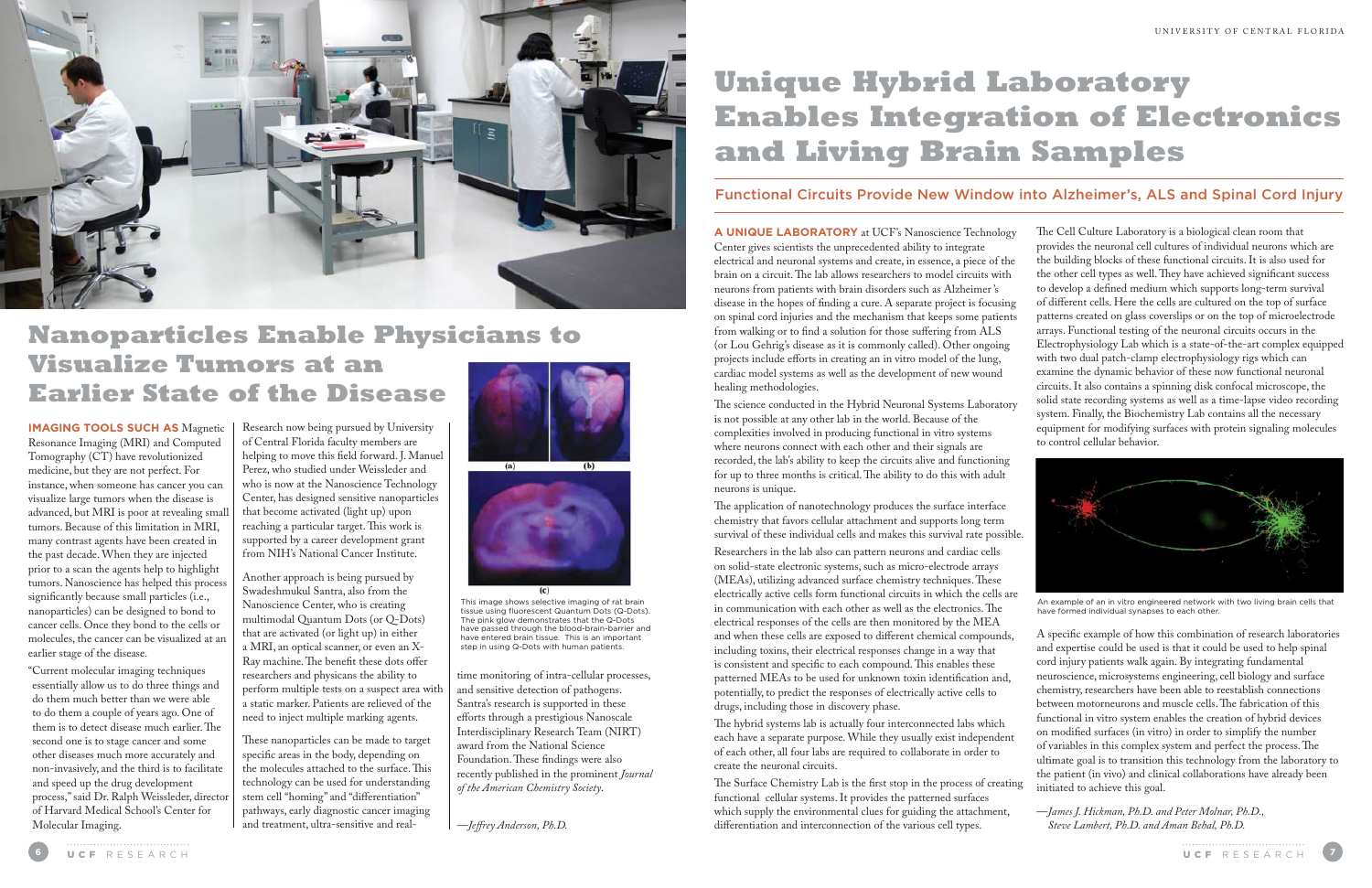

where neurons connect with each other and their signals are recorded, the lab's ability to keep the circuits alive and functioning for up to three months is critical. The ability to do this with adult neurons is unique.

The application of nanotechnology produces the surface interface chemistry that favors cellular attachment and supports long term survival of these individual cells and makes this survival rate possible.

Researchers in the lab also can pattern neurons and cardiac cells on solid-state electronic systems, such as micro-electrode arrays (MEAs), utilizing advanced surface chemistry techniques. These electrically active cells form functional circuits in which the cells are in communication with each other as well as the electronics. The electrical responses of the cells are then monitored by the MEA and when these cells are exposed to different chemical compounds, including toxins, their electrical responses change in a way that is consistent and specific to each compound. This enables these patterned MEAs to be used for unknown toxin identification and, potentially, to predict the responses of electrically active cells to drugs, including those in discovery phase.

**A unique laboratory** at UCF's Nanoscience Technology Center gives scientists the unprecedented ability to integrate electrical and neuronal systems and create, in essence, a piece of the brain on a circuit. The lab allows researchers to model circuits with neurons from patients with brain disorders such as Alzheimer 's disease in the hopes of finding a cure. A separate project is focusing on spinal cord injuries and the mechanism that keeps some patients from walking or to find a solution for those suffering from ALS (or Lou Gehrig's disease as it is commonly called). Other ongoing projects include efforts in creating an in vitro model of the lung, cardiac model systems as well as the development of new wound healing methodologies. The science conducted in the Hybrid Neuronal Systems Laboratory is not possible at any other lab in the world. Because of the complexities involved in producing functional in vitro systems The Cell Culture Laboratory is a biological clean room that provides the neuronal cell cultures of individual neurons which are the building blocks of these functional circuits. It is also used for the other cell types as well. They have achieved significant success to develop a defined medium which supports long-term survival of different cells. Here the cells are cultured on the top of surface patterns created on glass coverslips or on the top of microelectrode arrays. Functional testing of the neuronal circuits occurs in the Electrophysiology Lab which is a state-of-the-art complex equipped with two dual patch-clamp electrophysiology rigs which can examine the dynamic behavior of these now functional neuronal circuits. It also contains a spinning disk confocal microscope, the solid state recording systems as well as a time-lapse video recording system. Finally, the Biochemistry Lab contains all the necessary equipment for modifying surfaces with protein signaling molecules to control cellular behavior.

The hybrid systems lab is actually four interconnected labs which each have a separate purpose. While they usually exist independent of each other, all four labs are required to collaborate in order to create the neuronal circuits.

The Surface Chemistry Lab is the first stop in the process of creating functional cellular systems. It provides the patterned surfaces which supply the environmental clues for guiding the attachment, differentiation and interconnection of the various cell types.

A specific example of how this combination of research laboratories and expertise could be used is that it could be used to help spinal cord injury patients walk again. By integrating fundamental neuroscience, microsystems engineering, cell biology and surface chemistry, researchers have been able to reestablish connections between motorneurons and muscle cells. The fabrication of this functional in vitro system enables the creation of hybrid devices on modified surfaces (in vitro) in order to simplify the number of variables in this complex system and perfect the process. The ultimate goal is to transition this technology from the laboratory to the patient (in vivo) and clinical collaborations have already been initiated to achieve this goal.

—*James J. Hickman, Ph.D. and Peter Molnar, Ph.D., Steve Lambert, Ph.D. and Aman Behal, Ph.D.*

# **Nanoparticles Enable Physicians to Visualize Tumors at an Earlier State of the Disease**

**Imaging tools such as** Magnetic Resonance Imaging (MRI) and Computed Tomography (CT) have revolutionized medicine, but they are not perfect. For instance, when someone has cancer you can visualize large tumors when the disease is advanced, but MRI is poor at revealing small tumors. Because of this limitation in MRI, many contrast agents have been created in the past decade. When they are injected prior to a scan the agents help to highlight tumors. Nanoscience has helped this process significantly because small particles (i.e., nanoparticles) can be designed to bond to cancer cells. Once they bond to the cells or molecules, the cancer can be visualized at an earlier stage of the disease.

"Current molecular imaging techniques essentially allow us to do three things and do them much better than we were able to do them a couple of years ago. One of them is to detect disease much earlier. The second one is to stage cancer and some other diseases much more accurately and non-invasively, and the third is to facilitate and speed up the drug development process," said Dr. Ralph Weissleder, director of Harvard Medical School's Center for Molecular Imaging.

Research now being pursued by University of Central Florida faculty members are helping to move this field forward. J. Manuel Perez, who studied under Weissleder and who is now at the Nanoscience Technology Center, has designed sensitive nanoparticles that become activated (light up) upon reaching a particular target. This work is supported by a career development grant from NIH's National Cancer Institute.

Another approach is being pursued by Swadeshmukul Santra, also from the Nanoscience Center, who is creating multimodal Quantum Dots (or Q-Dots) that are activated (or light up) in either a MRI, an optical scanner, or even an X-Ray machine. The benefit these dots offer researchers and physicans the ability to perform multiple tests on a suspect area with a static marker. Patients are relieved of the need to inject multiple marking agents.

These nanoparticles can be made to target specific areas in the body, depending on the molecules attached to the surface. This technology can be used for understanding stem cell "homing" and "differentiation" pathways, early diagnostic cancer imaging and treatment, ultra-sensitive and real-



time monitoring of intra-cellular processes, and sensitive detection of pathogens. Santra's research is supported in these efforts through a prestigious Nanoscale Interdisciplinary Research Team (NIRT) award from the National Science Foundation. These findings were also recently published in the prominent *Journal of the American Chemistry Society*.

—*Jeffrey Anderson, Ph.D.*

# **Unique Hybrid Laboratory Enables Integration of Electronics and Living Brain Samples**

### Functional Circuits Provide New Window into Alzheimer's, ALS and Spinal Cord Injury



This image shows selective imaging of rat brain tissue using fluorescent Quantum Dots (Q-Dots). The pink glow demonstrates that the Q-Dots have passed through the blood-brain-barrier and have entered brain tissue. This is an important step in using Q-Dots with human patients.



An example of an in vitro engineered network with two living brain cells that have formed individual synapses to each other.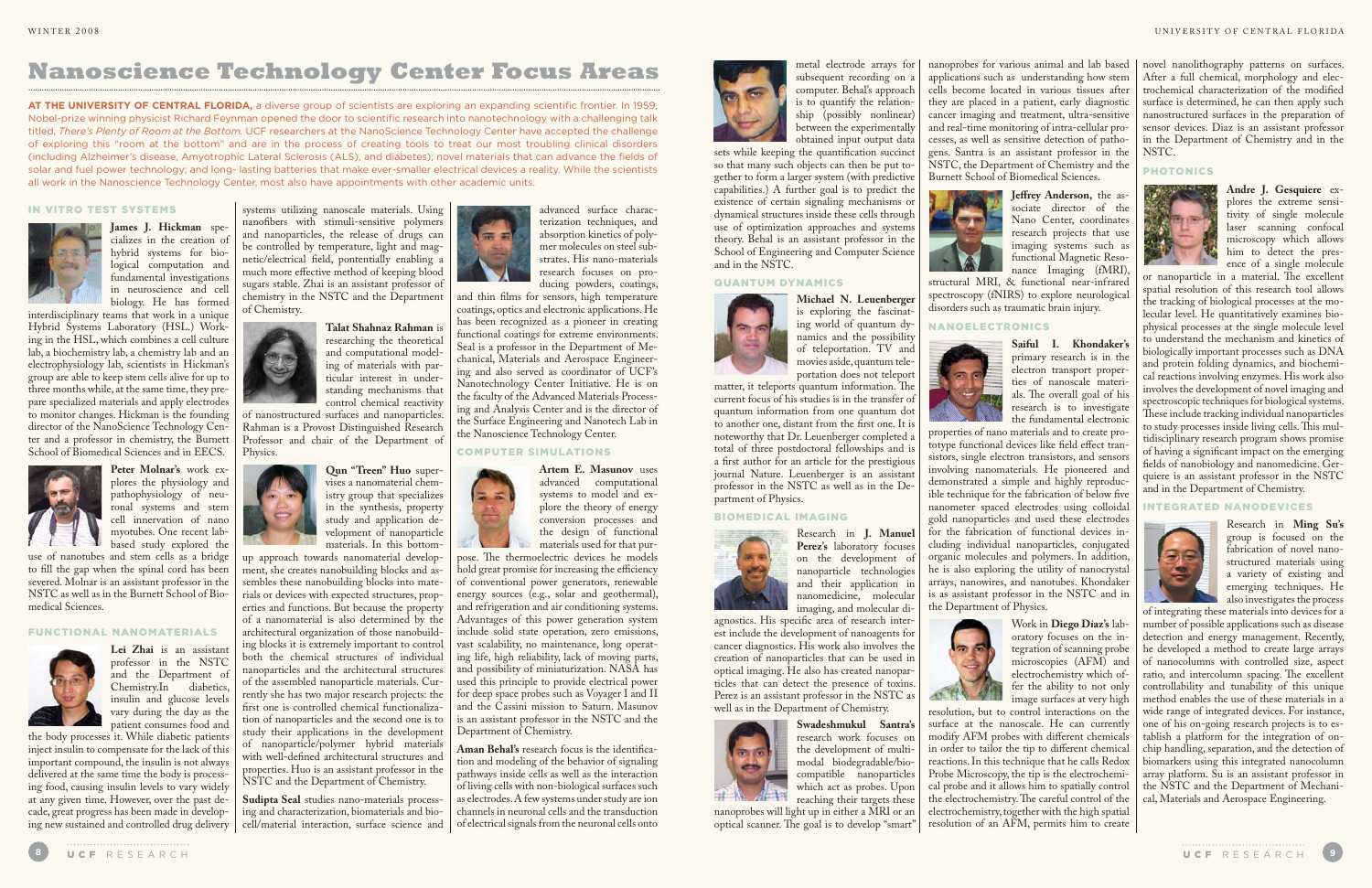

### IN VITRO TEST SYSTEMS

**James J. Hickman** specializes in the creation of hybrid systems for biological computation and fundamental investigations in neuroscience and cell biology. He has formed



Hybrid Systems Laboratory (HSL.) Working in the HSL, which combines a cell culture lab, a biochemistry lab, a chemistry lab and an electrophysiology lab, scientists in Hickman's group are able to keep stem cells alive for up to three months while, at the same time, they prepare specialized materials and apply electrodes to monitor changes. Hickman is the founding director of the NanoScience Technology Center and a professor in chemistry, the Burnett School of Biomedical Sciences and in EECS.



**Peter Molnar's** work explores the physiology and pathophysiology of neuronal systems and stem cell innervation of nano myotubes. One recent labbased study explored the

use of nanotubes and stem cells as a bridge to fill the gap when the spinal cord has been severed. Molnar is an assistant professor in the NSTC as well as in the Burnett School of Biomedical Sciences.

### FUNCTIONAL NANOMATERIALS



**Lei Zhai** is an assistant professor in the NSTC and the Department of Chemistry.In diabetics, insulin and glucose levels vary during the day as the patient consumes food and and thin films for sensors, high temperature coatings, optics and electronic applications. He has been recognized as a pioneer in creating

systems utilizing nanoscale materials. Using nanofibers with stimuli-sensitive polymers and nanoparticles, the release of drugs can be controlled by temperature, light and magnetic/electrical field, pontentially enabling a much more effective method of keeping blood sugars stable. Zhai is an assistant professor of chemistry in the NSTC and the Department of Chemistry.



Physics.

the body processes it. While diabetic patients inject insulin to compensate for the lack of this important compound, the insulin is not always delivered at the same time the body is processing food, causing insulin levels to vary widely at any given time. However, over the past decade, great progress has been made in developing new sustained and controlled drug delivery cell/material interaction, surface science and

**Qun "Treen" Huo** supervises a nanomaterial chemistry group that specializes in the synthesis, property study and application development of nanoparticle materials. In this bottom-

up approach towards nanomaterial development, she creates nanobuilding blocks and assembles these nanobuilding blocks into materials or devices with expected structures, properties and functions. But because the property of a nanomaterial is also determined by the architectural organization of those nanobuilding blocks it is extremely important to control both the chemical structures of individual nanoparticles and the architectural structures of the assembled nanoparticle materials. Currently she has two major research projects: the first one is controlled chemical functionalization of nanoparticles and the second one is to study their applications in the development of nanoparticle/polymer hybrid materials with well-defined architectural structures and properties. Huo is an assistant professor in the NSTC and the Department of Chemistry.



**Sudipta Seal** studies nano-materials processing and characterization, biomaterials and bio-



advanced surface characterization techniques, and absorption kinetics of polymer molecules on steel substrates. His nano-materials research focuses on producing powders, coatings,

**Artem E. Masunov** uses advanced computational systems to model and explore the theory of energy conversion processes and the design of functional materials used for that pur-

pose. The thermoelectric devices he models hold great promise for increasing the efficiency of conventional power generators, renewable energy sources (e.g., solar and geothermal), and refrigeration and air conditioning systems. Advantages of this power generation system include solid state operation, zero emissions, vast scalability, no maintenance, long operating life, high reliability, lack of moving parts, and possibility of miniaturization. NASA has used this principle to provide electrical power for deep space probes such as Voyager I and II and the Cassini mission to Saturn. Masunov is an assistant professor in the NSTC and the

Department of Chemistry.

**Aman Behal's** research focus is the identification and modeling of the behavior of signaling pathways inside cells as well as the interaction of living cells with non-biological surfaces such as electrodes. A few systems under study are ion channels in neuronal cells and the transduction of electrical signals from the neuronal cells onto

## **Nanoscience Technology Center Focus Areas**

**AT THE UNIVERSITY OF CENTRAL FLORIDA,** a diverse group of scientists are exploring an expanding scientific frontier. In 1959, Nobel-prize winning physicist Richard Feynman opened the door to scientific research into nanotechnology with a challenging talk titled, *There's Plenty of Room at the Bottom.* UCF researchers at the NanoScience Technology Center have accepted the challenge of exploring this "room at the bottom" and are in the process of creating tools to treat our most troubling clinical disorders (including Alzheimer's disease, Amyotrophic Lateral Sclerosis (ALS), and diabetes); novel materials that can advance the fields of solar and fuel power technology; and long- lasting batteries that make ever-smaller electrical devices a reality. While the scientists all work in the Nanoscience Technology Center, most also have appointments with other academic units.

metal electrode arrays for subsequent recording on a computer. Behal's approach is to quantify the relationship (possibly nonlinear) between the experimentally obtained input output data

sets while keeping the quantification succinct so that many such objects can then be put together to form a larger system (with predictive capabilities.) A further goal is to predict the existence of certain signaling mechanisms or dynamical structures inside these cells through use of optimization approaches and systems theory. Behal is an assistant professor in the School of Engineering and Computer Science and in the NSTC.

### QUANTUM DYNAMICS



**Michael N. Leuenberger** is exploring the fascinating world of quantum dynamics and the possibility of teleportation. TV and movies aside, quantum teleportation does not teleport

matter, it teleports quantum information. The current focus of his studies is in the transfer of quantum information from one quantum dot to another one, distant from the first one. It is noteworthy that Dr. Leuenberger completed a total of three postdoctoral fellowships and is a first author for an article for the prestigious journal Nature. Leuenberger is an assistant professor in the NSTC as well as in the Department of Physics.

### BIOMEDICAL IMAGING



Research in **J. Manuel Perez's** laboratory focuses on the development of nanoparticle technologies and their application in nanomedicine, molecular imaging, and molecular di-

agnostics. His specific area of research interest include the development of nanoagents for cancer diagnostics. His work also involves the creation of nanoparticles that can be used in optical imaging. He also has created nanoparticles that can detect the presence of toxins. Perez is an assistant professor in the NSTC as well as in the Department of Chemistry.



**Swadeshmukul Santra's** research work focuses on the development of multimodal biodegradable/biocompatible nanoparticles which act as probes. Upon reaching their targets these

nanoprobes will light up in either a MRI or an optical scanner. The goal is to develop "smart" nanoprobes for various animal and lab based applications such as understanding how stem cells become located in various tissues after they are placed in a patient, early diagnostic cancer imaging and treatment, ultra-sensitive and real-time monitoring of intra-cellular processes, as well as sensitive detection of pathogens. Santra is an assistant professor in the NSTC, the Department of Chemistry and the Burnett School of Biomedical Sciences.



**Jeffrey Anderson,** the associate director of the Nano Center, coordinates research projects that use imaging systems such as functional Magnetic Resonance Imaging (fMRI), structural MRI, & functional near-infrared spectroscopy (fNIRS) to explore neurological disorders such as traumatic brain injury.

### NANOELECTRONICS



**Saiful I. Khondaker's** primary research is in the electron transport properties of nanoscale materials. The overall goal of his research is to investigate the fundamental electronic properties of nano materials and to create prototype functional devices like field effect transistors, single electron transistors, and sensors involving nanomaterials. He pioneered and demonstrated a simple and highly reproducible technique for the fabrication of below five nanometer spaced electrodes using colloidal gold nanoparticles and used these electrodes for the fabrication of functional devices including individual nanoparticles, conjugated organic molecules and polymers. In addition, he is also exploring the utility of nanocrystal arrays, nanowires, and nanotubes. Khondaker is as assistant professor in the NSTC and in the Department of Physics.



Work in **Diego Díaz's** laboratory focuses on the integration of scanning probe microscopies (AFM) and electrochemistry which offer the ability to not only image surfaces at very high resolution, but to control interactions on the surface at the nanoscale. He can currently modify AFM probes with different chemicals in order to tailor the tip to different chemical reactions. In this technique that he calls Redox Probe Microscopy, the tip is the electrochemical probe and it allows him to spatially control the electrochemistry. The careful control of the electrochemistry, together with the high spatial resolution of an AFM, permits him to create

novel nanolithography patterns on surfaces. After a full chemical, morphology and electrochemical characterization of the modified surface is determined, he can then apply such nanostructured surfaces in the preparation of sensor devices. Diaz is an assistant professor in the Department of Chemistry and in the NSTC.

#### PHOTONICS



**Andre J. Gesquiere** explores the extreme sensitivity of single molecule laser scanning confocal microscopy which allows him to detect the presence of a single molecule

or nanoparticle in a material. The excellent spatial resolution of this research tool allows the tracking of biological processes at the molecular level. He quantitatively examines biophysical processes at the single molecule level to understand the mechanism and kinetics of biologically important processes such as DNA and protein folding dynamics, and biochemical reactions involving enzymes. His work also involves the development of novel imaging and spectroscopic techniques for biological systems.<br>These include tracking individual nanoparticles These include tracking individual nanoparticles to study processes inside living cells. This multidisciplinary research program shows promise of having a significant impact on the emerging fields of nanobiology and nanomedicine. Gerquiere is an assistant professor in the NSTC and in the Department of Chemistry.

### INTEGRATED NANODEVICES



Research in **Ming Su's** group is focused on the fabrication of novel nanostructured materials using a variety of existing and emerging techniques. He also investigates the process

of integrating these materials into devices for a number of possible applications such as disease detection and energy management. Recently, he developed a method to create large arrays of nanocolumns with controlled size, aspect ratio, and intercolumn spacing. The excellent controllability and tunability of this unique method enables the use of these materials in a wide range of integrated devices. For instance, one of his on-going research projects is to establish a platform for the integration of onchip handling, separation, and the detection of biomarkers using this integrated nanocolumn array platform. Su is an assistant professor in the NSTC and the Department of Mechanical, Materials and Aerospace Engineering.